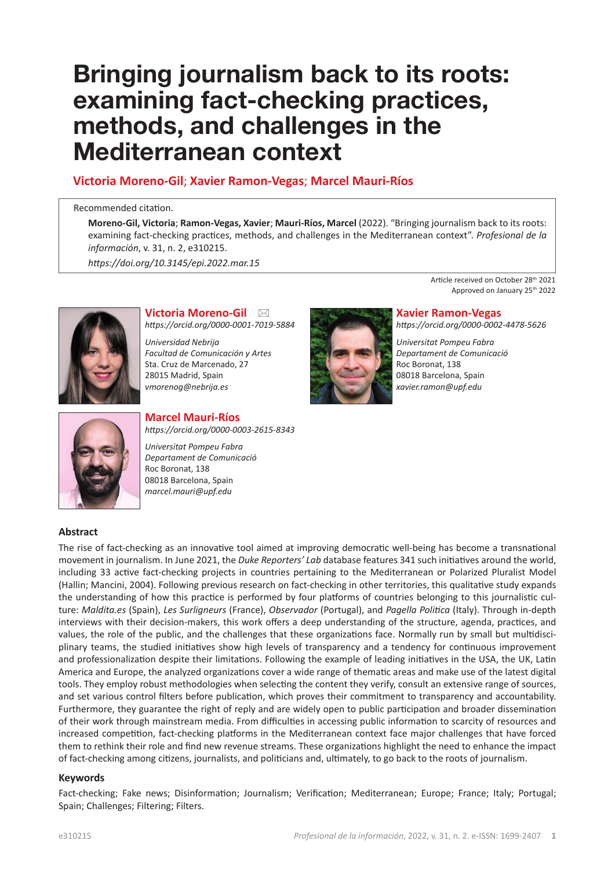# **Bringing journalism back to its roots: examining fact-checking practices, methods, and challenges in the Mediterranean context**

# **Victoria Moreno-Gil**; **Xavier Ramon-Vegas**; **Marcel Mauri-Ríos**

#### Recommended citation.

**Moreno-Gil, Victoria**; **Ramon-Vegas, Xavier**; **Mauri-Ríos, Marcel** (2022). "Bringing journalism back to its roots: examining fact-checking practices, methods, and challenges in the Mediterranean context". *Profesional de la información*, v. 31, n. 2, e310215.

*[https://doi.org/10.3145/epi.2022.mar.](https://doi.org/10.3145/epi.2022.mar.15)15*



#### **Victoria Moreno-Gil** \* *<https://orcid.org/0000-0001-7019-5884>*

*<https://orcid.org/0000-0003-2615-8343>* 

*Universidad Nebrija Facultad de Comunicación y Artes* Sta. Cruz de Marcenado, 27 28015 Madrid, Spain *[vmorenog@nebrija.es](mailto:vmorenog@nebrija.es)*

**Marcel Mauri-Ríos** 

*Universitat Pompeu Fabra Departament de Comunicació*

Roc Boronat, 138 08018 Barcelona, Spain *[marcel.mauri@upf.edu](mailto:marcel.mauri@upf.edu)*



Article received on October 28<sup>th</sup> 2021 Approved on January 25th 2022

#### **Xavier Ramon-Vegas**  *<https://orcid.org/0000-0002-4478-5626>*

*Universitat Pompeu Fabra Departament de Comunicació* Roc Boronat, 138 08018 Barcelona, Spain *[xavier.ramon@upf.edu](mailto:xavier.ramon@upf.edu)*



# **Abstract**

The rise of fact-checking as an innovative tool aimed at improving democratic well-being has become a transnational movement in journalism. In June 2021, the *Duke Reporters' Lab* database features 341 such initiatives around the world, including 33 active fact-checking projects in countries pertaining to the Mediterranean or Polarized Pluralist Model (Hallin; Mancini, 2004). Following previous research on fact-checking in other territories, this qualitative study expands the understanding of how this practice is performed by four platforms of countries belonging to this journalistic culture: *Maldita.es* (Spain), *Les Surligneurs* (France), *Observador* (Portugal), and *Pagella Politica* (Italy). Through in-depth interviews with their decision-makers, this work offers a deep understanding of the structure, agenda, practices, and values, the role of the public, and the challenges that these organizations face. Normally run by small but multidisciplinary teams, the studied initiatives show high levels of transparency and a tendency for continuous improvement and professionalization despite their limitations. Following the example of leading initiatives in the USA, the UK, Latin America and Europe, the analyzed organizations cover a wide range of thematic areas and make use of the latest digital tools. They employ robust methodologies when selecting the content they verify, consult an extensive range of sources, and set various control filters before publication, which proves their commitment to transparency and accountability. Furthermore, they guarantee the right of reply and are widely open to public participation and broader dissemination of their work through mainstream media. From difficulties in accessing public information to scarcity of resources and increased competition, fact-checking platforms in the Mediterranean context face major challenges that have forced them to rethink their role and find new revenue streams. These organizations highlight the need to enhance the impact of fact-checking among citizens, journalists, and politicians and, ultimately, to go back to the roots of journalism.

# **Keywords**

Fact-checking; Fake news; Disinformation; Journalism; Verification; Mediterranean; Europe; France; Italy; Portugal; Spain; Challenges; Filtering; Filters.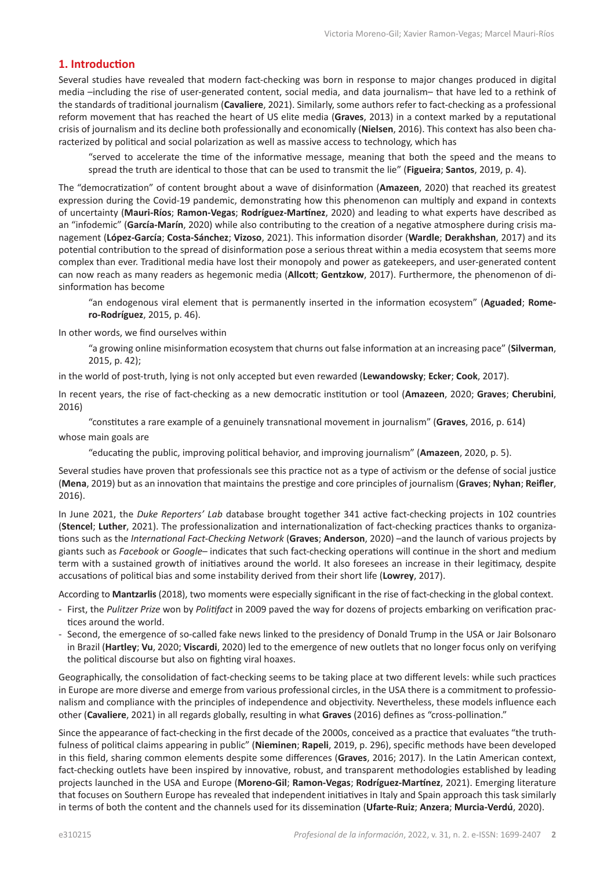# **1. Introduction**

Several studies have revealed that modern fact-checking was born in response to major changes produced in digital media –including the rise of user-generated content, social media, and data journalism– that have led to a rethink of the standards of traditional journalism (**Cavaliere**, 2021). Similarly, some authors refer to fact-checking as a professional reform movement that has reached the heart of US elite media (**Graves**, 2013) in a context marked by a reputational crisis of journalism and its decline both professionally and economically (**Nielsen**, 2016). This context has also been characterized by political and social polarization as well as massive access to technology, which has

"served to accelerate the time of the informative message, meaning that both the speed and the means to spread the truth are identical to those that can be used to transmit the lie" (**Figueira**; **Santos**, 2019, p. 4).

The "democratization" of content brought about a wave of disinformation (**Amazeen**, 2020) that reached its greatest expression during the Covid-19 pandemic, demonstrating how this phenomenon can multiply and expand in contexts of uncertainty (**Mauri-Ríos**; **Ramon-Vegas**; **Rodríguez-Martínez**, 2020) and leading to what experts have described as an "infodemic" (**García-Marín**, 2020) while also contributing to the creation of a negative atmosphere during crisis management (**López-García**; **Costa-Sánchez**; **Vizoso**, 2021). This information disorder (**Wardle**; **Derakhshan**, 2017) and its potential contribution to the spread of disinformation pose a serious threat within a media ecosystem that seems more complex than ever. Traditional media have lost their monopoly and power as gatekeepers, and user-generated content can now reach as many readers as hegemonic media (**Allcott**; **Gentzkow**, 2017). Furthermore, the phenomenon of disinformation has become

"an endogenous viral element that is permanently inserted in the information ecosystem" (**Aguaded**; **Romero-Rodríguez**, 2015, p. 46).

In other words, we find ourselves within

"a growing online misinformation ecosystem that churns out false information at an increasing pace" (**Silverman**, 2015, p. 42);

in the world of post-truth, lying is not only accepted but even rewarded (**Lewandowsky**; **Ecker**; **Cook**, 2017).

In recent years, the rise of fact-checking as a new democratic institution or tool (**Amazeen**, 2020; **Graves**; **Cherubini**, 2016)

"constitutes a rare example of a genuinely transnational movement in journalism" (**Graves**, 2016, p. 614)

whose main goals are

"educating the public, improving political behavior, and improving journalism" (**Amazeen**, 2020, p. 5).

Several studies have proven that professionals see this practice not as a type of activism or the defense of social justice (**Mena**, 2019) but as an innovation that maintains the prestige and core principles of journalism (**Graves**; **Nyhan**; **Reifler**, 2016).

In June 2021, the *Duke Reporters' Lab* database brought together 341 active fact-checking projects in 102 countries (**Stencel**; **Luther**, 2021). The professionalization and internationalization of fact-checking practices thanks to organizations such as the *International Fact-Checking Network* (**Graves**; **Anderson**, 2020) –and the launch of various projects by giants such as *Facebook* or *Google*– indicates that such fact-checking operations will continue in the short and medium term with a sustained growth of initiatives around the world. It also foresees an increase in their legitimacy, despite accusations of political bias and some instability derived from their short life (**Lowrey**, 2017).

According to **Mantzarlis** (2018), two moments were especially significant in the rise of fact-checking in the global context.

- First, the *Pulitzer Prize* won by *Politifact* in 2009 paved the way for dozens of projects embarking on verification practices around the world.
- Second, the emergence of so-called fake news linked to the presidency of Donald Trump in the USA or Jair Bolsonaro in Brazil (**Hartley**; **Vu**, 2020; **Viscardi**, 2020) led to the emergence of new outlets that no longer focus only on verifying the political discourse but also on fighting viral hoaxes.

Geographically, the consolidation of fact-checking seems to be taking place at two different levels: while such practices in Europe are more diverse and emerge from various professional circles, in the USA there is a commitment to professionalism and compliance with the principles of independence and objectivity. Nevertheless, these models influence each other (**Cavaliere**, 2021) in all regards globally, resulting in what **Graves** (2016) defines as "cross-pollination."

Since the appearance of fact-checking in the first decade of the 2000s, conceived as a practice that evaluates "the truthfulness of political claims appearing in public" (**Nieminen**; **Rapeli**, 2019, p. 296), specific methods have been developed in this field, sharing common elements despite some differences (**Graves**, 2016; 2017). In the Latin American context, fact-checking outlets have been inspired by innovative, robust, and transparent methodologies established by leading projects launched in the USA and Europe (**Moreno-Gil**; **Ramon-Vegas**; **Rodríguez-Martínez**, 2021). Emerging literature that focuses on Southern Europe has revealed that independent initiatives in Italy and Spain approach this task similarly in terms of both the content and the channels used for its dissemination (**Ufarte-Ruiz**; **Anzera**; **Murcia-Verdú**, 2020).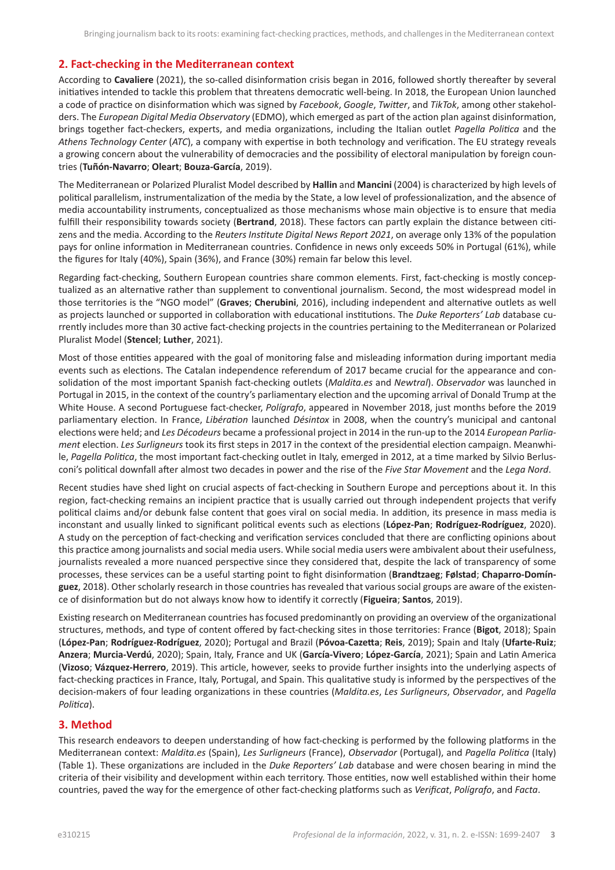# **2. Fact-checking in the Mediterranean context**

According to **Cavaliere** (2021), the so-called disinformation crisis began in 2016, followed shortly thereafter by several initiatives intended to tackle this problem that threatens democratic well-being. In 2018, the European Union launched a code of practice on disinformation which was signed by *Facebook*, *Google*, *Twitter*, and *TikTok*, among other stakeholders. The *European Digital Media Observatory* (EDMO), which emerged as part of the action plan against disinformation, brings together fact-checkers, experts, and media organizations, including the Italian outlet *Pagella Politica* and the *Athens Technology Center* (*ATC*), a company with expertise in both technology and verification. The EU strategy reveals a growing concern about the vulnerability of democracies and the possibility of electoral manipulation by foreign countries (**Tuñón-Navarro**; **Oleart**; **Bouza-García**, 2019).

The Mediterranean or Polarized Pluralist Model described by **Hallin** and **Mancini** (2004) is characterized by high levels of political parallelism, instrumentalization of the media by the State, a low level of professionalization, and the absence of media accountability instruments, conceptualized as those mechanisms whose main objective is to ensure that media fulfill their responsibility towards society (**Bertrand**, 2018). These factors can partly explain the distance between citizens and the media. According to the *Reuters Institute Digital News Report 2021*, on average only 13% of the population pays for online information in Mediterranean countries. Confidence in news only exceeds 50% in Portugal (61%), while the figures for Italy (40%), Spain (36%), and France (30%) remain far below this level.

Regarding fact-checking, Southern European countries share common elements. First, fact-checking is mostly conceptualized as an alternative rather than supplement to conventional journalism. Second, the most widespread model in those territories is the "NGO model" (**Graves**; **Cherubini**, 2016), including independent and alternative outlets as well as projects launched or supported in collaboration with educational institutions. The *Duke Reporters' Lab* database currently includes more than 30 active fact-checking projects in the countries pertaining to the Mediterranean or Polarized Pluralist Model (**Stencel**; **Luther**, 2021).

Most of those entities appeared with the goal of monitoring false and misleading information during important media events such as elections. The Catalan independence referendum of 2017 became crucial for the appearance and consolidation of the most important Spanish fact-checking outlets (*Maldita.es* and *Newtral*). *Observador* was launched in Portugal in 2015, in the context of the country's parliamentary election and the upcoming arrival of Donald Trump at the White House. A second Portuguese fact-checker, *Polígrafo*, appeared in November 2018, just months before the 2019 parliamentary election. In France, *Libération* launched *Désintox* in 2008, when the country's municipal and cantonal elections were held; and *Les Décodeurs* became a professional project in 2014 in the run-up to the 2014 *European Parliament* election. *Les Surligneurs* took its first steps in 2017 in the context of the presidential election campaign. Meanwhile, *Pagella Politica*, the most important fact-checking outlet in Italy, emerged in 2012, at a time marked by Silvio Berlusconi's political downfall after almost two decades in power and the rise of the *Five Star Movement* and the *Lega Nord*.

Recent studies have shed light on crucial aspects of fact-checking in Southern Europe and perceptions about it. In this region, fact-checking remains an incipient practice that is usually carried out through independent projects that verify political claims and/or debunk false content that goes viral on social media. In addition, its presence in mass media is inconstant and usually linked to significant political events such as elections (**López-Pan**; **Rodríguez-Rodríguez**, 2020). A study on the perception of fact-checking and verification services concluded that there are conflicting opinions about this practice among journalists and social media users. While social media users were ambivalent about their usefulness, journalists revealed a more nuanced perspective since they considered that, despite the lack of transparency of some processes, these services can be a useful starting point to fight disinformation (**Brandtzaeg**; **Følstad**; **Chaparro-Domínguez**, 2018). Other scholarly research in those countries has revealed that various social groups are aware of the existence of disinformation but do not always know how to identify it correctly (**Figueira**; **Santos**, 2019).

Existing research on Mediterranean countries has focused predominantly on providing an overview of the organizational structures, methods, and type of content offered by fact-checking sites in those territories: France (**Bigot**, 2018); Spain (**López-Pan**; **Rodríguez-Rodríguez**, 2020); Portugal and Brazil (**Póvoa-Cazetta**; **Reis**, 2019); Spain and Italy (**Ufarte-Ruiz**; **Anzera**; **Murcia-Verdú**, 2020); Spain, Italy, France and UK (**García-Vivero**; **López-García**, 2021); Spain and Latin America (**Vizoso**; **Vázquez-Herrero**, 2019). This article, however, seeks to provide further insights into the underlying aspects of fact-checking practices in France, Italy, Portugal, and Spain. This qualitative study is informed by the perspectives of the decision-makers of four leading organizations in these countries (*Maldita.es*, *Les Surligneurs*, *Observador*, and *Pagella Politica*).

# **3. Method**

This research endeavors to deepen understanding of how fact-checking is performed by the following platforms in the Mediterranean context: *Maldita.es* (Spain), *Les Surligneurs* (France), *Observador* (Portugal), and *Pagella Politica* (Italy) (Table 1). These organizations are included in the *Duke Reporters' Lab* database and were chosen bearing in mind the criteria of their visibility and development within each territory. Those entities, now well established within their home countries, paved the way for the emergence of other fact-checking platforms such as *Verificat*, *Polígrafo*, and *Facta*.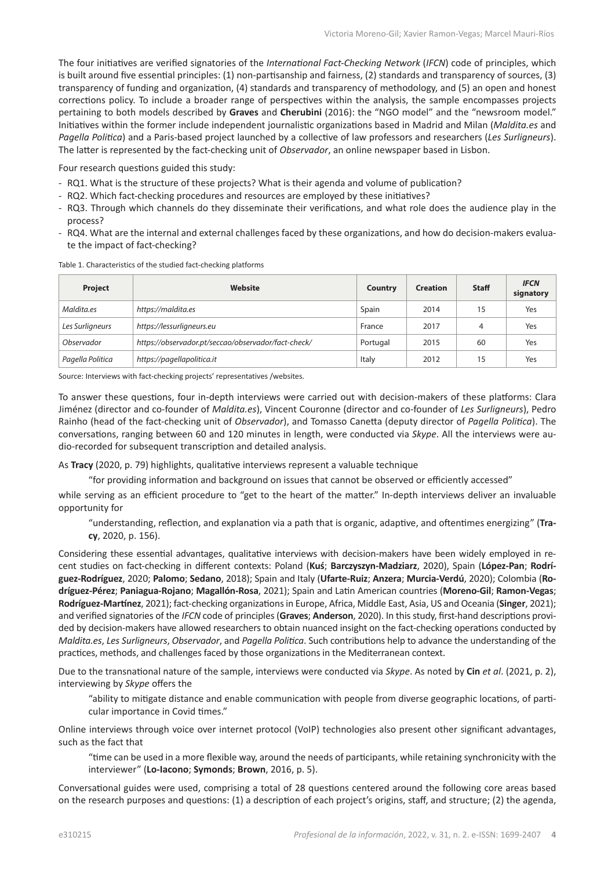The four initiatives are verified signatories of the *International Fact-Checking Network* (*IFCN*) code of principles, which is built around five essential principles: (1) non-partisanship and fairness, (2) standards and transparency of sources, (3) transparency of funding and organization, (4) standards and transparency of methodology, and (5) an open and honest corrections policy. To include a broader range of perspectives within the analysis, the sample encompasses projects pertaining to both models described by **Graves** and **Cherubini** (2016): the "NGO model" and the "newsroom model." Initiatives within the former include independent journalistic organizations based in Madrid and Milan (*Maldita.es* and *Pagella Politica*) and a Paris-based project launched by a collective of law professors and researchers (*Les Surligneurs*). The latter is represented by the fact-checking unit of *Observador*, an online newspaper based in Lisbon.

Four research questions guided this study:

- RQ1. What is the structure of these projects? What is their agenda and volume of publication?
- RQ2. Which fact-checking procedures and resources are employed by these initiatives?
- RQ3. Through which channels do they disseminate their verifications, and what role does the audience play in the process?
- RQ4. What are the internal and external challenges faced by these organizations, and how do decision-makers evaluate the impact of fact-checking?

| Project          | Website                                             | Country  | <b>Creation</b> | <b>Staff</b> | <b>IFCN</b><br>signatory |
|------------------|-----------------------------------------------------|----------|-----------------|--------------|--------------------------|
| Maldita.es       | https://maldita.es                                  | Spain    | 2014            | 15           | Yes                      |
| Les Surligneurs  | https://lessurligneurs.eu                           | France   | 2017            | 4            | Yes                      |
| Observador       | https://observador.pt/seccao/observador/fact-check/ | Portugal | 2015            | 60           | Yes                      |
| Pagella Politica | https://pagellapolitica.it                          | Italy    | 2012            | 15           | Yes                      |

Table 1. Characteristics of the studied fact-checking platforms

Source: Interviews with fact-checking projects' representatives /websites.

To answer these questions, four in-depth interviews were carried out with decision-makers of these platforms: Clara Jiménez (director and co-founder of *Maldita.es*), Vincent Couronne (director and co-founder of *Les Surligneurs*), Pedro Rainho (head of the fact-checking unit of *Observador*), and Tomasso Canetta (deputy director of *Pagella Politica*). The conversations, ranging between 60 and 120 minutes in length, were conducted via *Skype*. All the interviews were audio-recorded for subsequent transcription and detailed analysis.

As **Tracy** (2020, p. 79) highlights, qualitative interviews represent a valuable technique

"for providing information and background on issues that cannot be observed or efficiently accessed"

while serving as an efficient procedure to "get to the heart of the matter." In-depth interviews deliver an invaluable opportunity for

"understanding, reflection, and explanation via a path that is organic, adaptive, and oftentimes energizing" (**Tracy**, 2020, p. 156).

Considering these essential advantages, qualitative interviews with decision-makers have been widely employed in recent studies on fact-checking in different contexts: Poland (**Kuś**; **Barczyszyn-Madziarz**, 2020), Spain (**López-Pan**; **Rodríguez-Rodríguez**, 2020; **Palomo**; **Sedano**, 2018); Spain and Italy (**Ufarte-Ruiz**; **Anzera**; **Murcia-Verdú**, 2020); Colombia (**Rodríguez-Pérez**; **Paniagua-Rojano**; **Magallón-Rosa**, 2021); Spain and Latin American countries (**Moreno-Gil**; **Ramon-Vegas**; **Rodríguez-Martínez**, 2021); fact-checking organizations in Europe, Africa, Middle East, Asia, US and Oceania (**Singer**, 2021); and verified signatories of the *IFCN* code of principles (**Graves**; **Anderson**, 2020). In this study, first-hand descriptions provided by decision-makers have allowed researchers to obtain nuanced insight on the fact-checking operations conducted by *Maldita.es*, *Les Surligneurs*, *Observador*, and *Pagella Politica*. Such contributions help to advance the understanding of the practices, methods, and challenges faced by those organizations in the Mediterranean context.

Due to the transnational nature of the sample, interviews were conducted via *Skype*. As noted by **Cin** *et al*. (2021, p. 2), interviewing by *Skype* offers the

"ability to mitigate distance and enable communication with people from diverse geographic locations, of particular importance in Covid times."

Online interviews through voice over internet protocol (VoIP) technologies also present other significant advantages, such as the fact that

"time can be used in a more flexible way, around the needs of participants, while retaining synchronicity with the interviewer" (**Lo-Iacono**; **Symonds**; **Brown**, 2016, p. 5).

Conversational guides were used, comprising a total of 28 questions centered around the following core areas based on the research purposes and questions: (1) a description of each project's origins, staff, and structure; (2) the agenda,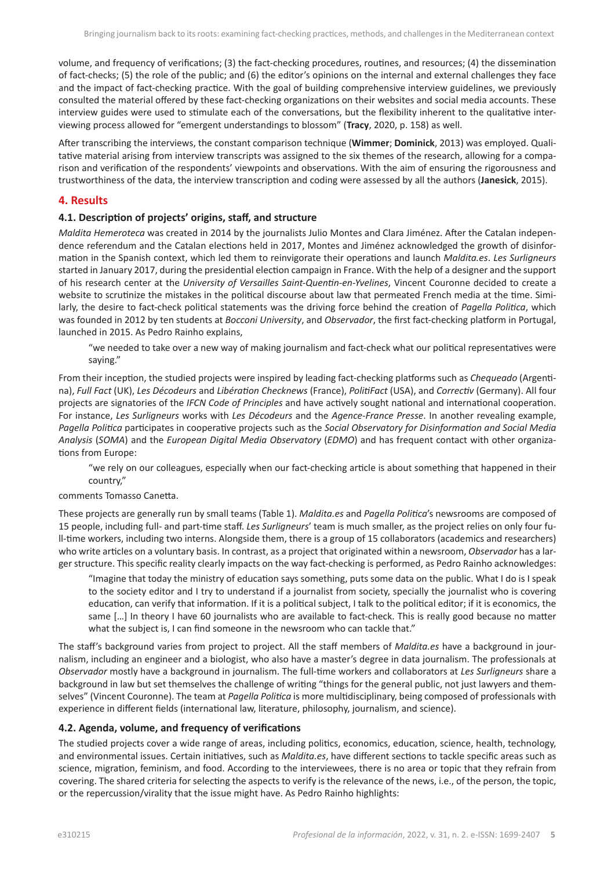volume, and frequency of verifications; (3) the fact-checking procedures, routines, and resources; (4) the dissemination of fact-checks; (5) the role of the public; and (6) the editor's opinions on the internal and external challenges they face and the impact of fact-checking practice. With the goal of building comprehensive interview guidelines, we previously consulted the material offered by these fact-checking organizations on their websites and social media accounts. These interview guides were used to stimulate each of the conversations, but the flexibility inherent to the qualitative interviewing process allowed for "emergent understandings to blossom" (**Tracy**, 2020, p. 158) as well.

After transcribing the interviews, the constant comparison technique (**Wimmer**; **Dominick**, 2013) was employed. Qualitative material arising from interview transcripts was assigned to the six themes of the research, allowing for a comparison and verification of the respondents' viewpoints and observations. With the aim of ensuring the rigorousness and trustworthiness of the data, the interview transcription and coding were assessed by all the authors (**Janesick**, 2015).

#### **4. Results**

#### **4.1. Description of projects' origins, staff, and structure**

*Maldita Hemeroteca* was created in 2014 by the journalists Julio Montes and Clara Jiménez. After the Catalan independence referendum and the Catalan elections held in 2017, Montes and Jiménez acknowledged the growth of disinformation in the Spanish context, which led them to reinvigorate their operations and launch *Maldita.es*. *Les Surligneurs* started in January 2017, during the presidential election campaign in France. With the help of a designer and the support of his research center at the *University of Versailles Saint-Quentin-en-Yvelines*, Vincent Couronne decided to create a website to scrutinize the mistakes in the political discourse about law that permeated French media at the time. Similarly, the desire to fact-check political statements was the driving force behind the creation of *Pagella Politica*, which was founded in 2012 by ten students at *Bocconi University*, and *Observador*, the first fact-checking platform in Portugal, launched in 2015. As Pedro Rainho explains,

"we needed to take over a new way of making journalism and fact-check what our political representatives were saying."

From their inception, the studied projects were inspired by leading fact-checking platforms such as *Chequeado* (Argentina), *Full Fact* (UK), *Les Décodeurs* and *Libération Checknews* (France), *PolitiFact* (USA), and *Correctiv* (Germany). All four projects are signatories of the *IFCN Code of Principles* and have actively sought national and international cooperation. For instance, *Les Surligneurs* works with *Les Décodeurs* and the *Agence-France Presse*. In another revealing example, *Pagella Politica* participates in cooperative projects such as the *Social Observatory for Disinformation and Social Media Analysis* (*SOMA*) and the *European Digital Media Observatory* (*EDMO*) and has frequent contact with other organizations from Europe:

"we rely on our colleagues, especially when our fact-checking article is about something that happened in their country,"

#### comments Tomasso Canetta.

These projects are generally run by small teams (Table 1). *Maldita.es* and *Pagella Politica*'s newsrooms are composed of 15 people, including full- and part-time staff. *Les Surligneurs*' team is much smaller, as the project relies on only four full-time workers, including two interns. Alongside them, there is a group of 15 collaborators (academics and researchers) who write articles on a voluntary basis. In contrast, as a project that originated within a newsroom, *Observador* has a larger structure. This specific reality clearly impacts on the way fact-checking is performed, as Pedro Rainho acknowledges:

"Imagine that today the ministry of education says something, puts some data on the public. What I do is I speak to the society editor and I try to understand if a journalist from society, specially the journalist who is covering education, can verify that information. If it is a political subject, I talk to the political editor; if it is economics, the same […] In theory I have 60 journalists who are available to fact-check. This is really good because no matter what the subject is, I can find someone in the newsroom who can tackle that."

The staff's background varies from project to project. All the staff members of *Maldita.es* have a background in journalism, including an engineer and a biologist, who also have a master's degree in data journalism. The professionals at *Observador* mostly have a background in journalism. The full-time workers and collaborators at *Les Surligneurs* share a background in law but set themselves the challenge of writing "things for the general public, not just lawyers and themselves" (Vincent Couronne). The team at *Pagella Politica* is more multidisciplinary, being composed of professionals with experience in different fields (international law, literature, philosophy, journalism, and science).

### **4.2. Agenda, volume, and frequency of verifications**

The studied projects cover a wide range of areas, including politics, economics, education, science, health, technology, and environmental issues. Certain initiatives, such as *Maldita.es*, have different sections to tackle specific areas such as science, migration, feminism, and food. According to the interviewees, there is no area or topic that they refrain from covering. The shared criteria for selecting the aspects to verify is the relevance of the news, i.e., of the person, the topic, or the repercussion/virality that the issue might have. As Pedro Rainho highlights: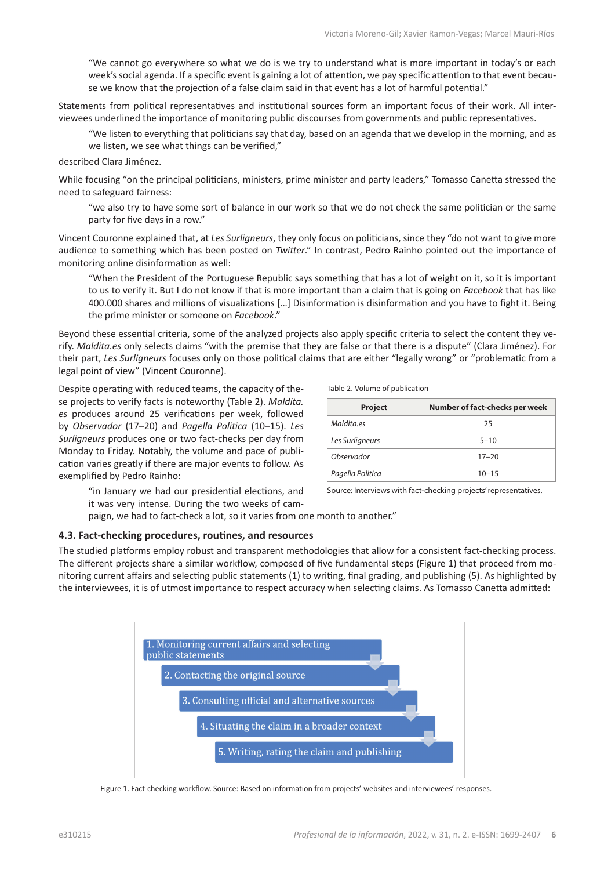"We cannot go everywhere so what we do is we try to understand what is more important in today's or each week's social agenda. If a specific event is gaining a lot of attention, we pay specific attention to that event because we know that the projection of a false claim said in that event has a lot of harmful potential."

Statements from political representatives and institutional sources form an important focus of their work. All interviewees underlined the importance of monitoring public discourses from governments and public representatives.

"We listen to everything that politicians say that day, based on an agenda that we develop in the morning, and as we listen, we see what things can be verified,"

described Clara Jiménez.

While focusing "on the principal politicians, ministers, prime minister and party leaders," Tomasso Canetta stressed the need to safeguard fairness:

"we also try to have some sort of balance in our work so that we do not check the same politician or the same party for five days in a row."

Vincent Couronne explained that, at *Les Surligneurs*, they only focus on politicians, since they "do not want to give more audience to something which has been posted on *Twitter*." In contrast, Pedro Rainho pointed out the importance of monitoring online disinformation as well:

"When the President of the Portuguese Republic says something that has a lot of weight on it, so it is important to us to verify it. But I do not know if that is more important than a claim that is going on *Facebook* that has like 400.000 shares and millions of visualizations […] Disinformation is disinformation and you have to fight it. Being the prime minister or someone on *Facebook*."

Beyond these essential criteria, some of the analyzed projects also apply specific criteria to select the content they verify. *Maldita.es* only selects claims "with the premise that they are false or that there is a dispute" (Clara Jiménez). For their part, *Les Surligneurs* focuses only on those political claims that are either "legally wrong" or "problematic from a legal point of view" (Vincent Couronne).

Despite operating with reduced teams, the capacity of these projects to verify facts is noteworthy (Table 2). *Maldita. es* produces around 25 verifications per week, followed by *Observador* (17–20) and *Pagella Politica* (10–15). *Les Surligneurs* produces one or two fact-checks per day from Monday to Friday. Notably, the volume and pace of publication varies greatly if there are major events to follow. As exemplified by Pedro Rainho:

> "in January we had our presidential elections, and it was very intense. During the two weeks of cam

Table 2. Volume of publication

| <b>Project</b>   | Number of fact-checks per week |
|------------------|--------------------------------|
| Maldita.es       | 25                             |
| Les Surligneurs  | $5 - 10$                       |
| Observador       | $17 - 20$                      |
| Pagella Politica | $10 - 15$                      |

Source: Interviews with fact-checking projects' representatives.

paign, we had to fact-check a lot, so it varies from one month to another."

#### **4.3. Fact-checking procedures, routines, and resources**

The studied platforms employ robust and transparent methodologies that allow for a consistent fact-checking process. The different projects share a similar workflow, composed of five fundamental steps (Figure 1) that proceed from monitoring current affairs and selecting public statements (1) to writing, final grading, and publishing (5). As highlighted by the interviewees, it is of utmost importance to respect accuracy when selecting claims. As Tomasso Canetta admitted:



Figure 1. Fact-checking workflow. Source: Based on information from projects' websites and interviewees' responses.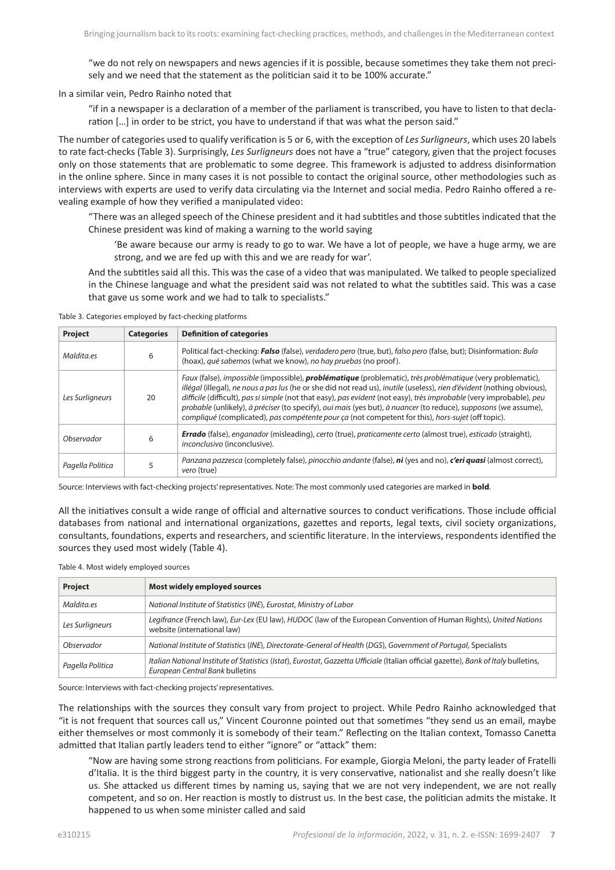"we do not rely on newspapers and news agencies if it is possible, because sometimes they take them not precisely and we need that the statement as the politician said it to be 100% accurate."

In a similar vein, Pedro Rainho noted that

"if in a newspaper is a declaration of a member of the parliament is transcribed, you have to listen to that declaration […] in order to be strict, you have to understand if that was what the person said."

The number of categories used to qualify verification is 5 or 6, with the exception of *Les Surligneurs*, which uses 20 labels to rate fact-checks (Table 3). Surprisingly, *Les Surligneurs* does not have a "true" category, given that the project focuses only on those statements that are problematic to some degree. This framework is adjusted to address disinformation in the online sphere. Since in many cases it is not possible to contact the original source, other methodologies such as interviews with experts are used to verify data circulating via the Internet and social media. Pedro Rainho offered a revealing example of how they verified a manipulated video:

"There was an alleged speech of the Chinese president and it had subtitles and those subtitles indicated that the Chinese president was kind of making a warning to the world saying

'Be aware because our army is ready to go to war. We have a lot of people, we have a huge army, we are strong, and we are fed up with this and we are ready for war'.

And the subtitles said all this. This was the case of a video that was manipulated. We talked to people specialized in the Chinese language and what the president said was not related to what the subtitles said. This was a case that gave us some work and we had to talk to specialists."

Table 3. Categories employed by fact-checking platforms

| Project          | <b>Categories</b> | <b>Definition of categories</b>                                                                                                                                                                                                                                                                                                                                                                                                                                                                                                                                                             |
|------------------|-------------------|---------------------------------------------------------------------------------------------------------------------------------------------------------------------------------------------------------------------------------------------------------------------------------------------------------------------------------------------------------------------------------------------------------------------------------------------------------------------------------------------------------------------------------------------------------------------------------------------|
| Maldita.es       | 6                 | Political fact-checking: Falso (false), verdadero pero (true, but), falso pero (false, but); Disinformation: Bulo<br>(hoax), qué sabemos (what we know), no hay pruebas (no proof).                                                                                                                                                                                                                                                                                                                                                                                                         |
| Les Surligneurs  | 20                | Faux (false), impossible (impossible), <b>problématique</b> (problematic), très problématique (very problematic),<br>illégal (illegal), ne nous a pas lus (he or she did not read us), inutile (useless), rien d'évident (nothing obvious),<br>difficile (difficult), pas si simple (not that easy), pas evident (not easy), très improbable (very improbable), peu<br>probable (unlikely), à préciser (to specify), oui mais (yes but), à nuancer (to reduce), supposons (we assume),<br>compliqué (complicated), pas compétente pour ca (not competent for this), hors-sujet (off topic). |
| Observador       | 6                 | <b>Errado</b> (false), enganador (misleading), certo (true), praticamente certo (almost true), esticado (straight),<br>inconclusivo (inconclusive).                                                                                                                                                                                                                                                                                                                                                                                                                                         |
| Pagella Politica |                   | Panzana pazzesca (completely false), pinocchio andante (false), ni (yes and no), c'eri quasi (almost correct),<br>vero (true)                                                                                                                                                                                                                                                                                                                                                                                                                                                               |

Source: Interviews with fact-checking projects' representatives. Note: The most commonly used categories are marked in **bold**.

All the initiatives consult a wide range of official and alternative sources to conduct verifications. Those include official databases from national and international organizations, gazettes and reports, legal texts, civil society organizations, consultants, foundations, experts and researchers, and scientific literature. In the interviews, respondents identified the sources they used most widely (Table 4).

Table 4. Most widely employed sources

| <b>Project</b>   | Most widely employed sources                                                                                                                                           |  |  |
|------------------|------------------------------------------------------------------------------------------------------------------------------------------------------------------------|--|--|
| Maldita.es       | National Institute of Statistics (INE), Eurostat, Ministry of Labor                                                                                                    |  |  |
| Les Surligneurs  | Legifrance (French law), Eur-Lex (EU law), HUDOC (law of the European Convention of Human Rights), United Nations<br>website (international law)                       |  |  |
| Observador       | National Institute of Statistics (INE), Directorate-General of Health (DGS), Government of Portugal, Specialists                                                       |  |  |
| Pagella Politica | Italian National Institute of Statistics (Istat), Eurostat, Gazzetta Ufficiale (Italian official gazette), Bank of Italy bulletins,<br>European Central Bank bulletins |  |  |

Source: Interviews with fact-checking projects' representatives.

The relationships with the sources they consult vary from project to project. While Pedro Rainho acknowledged that "it is not frequent that sources call us," Vincent Couronne pointed out that sometimes "they send us an email, maybe either themselves or most commonly it is somebody of their team." Reflecting on the Italian context, Tomasso Canetta admitted that Italian partly leaders tend to either "ignore" or "attack" them:

"Now are having some strong reactions from politicians. For example, Giorgia Meloni, the party leader of Fratelli d'Italia. It is the third biggest party in the country, it is very conservative, nationalist and she really doesn't like us. She attacked us different times by naming us, saying that we are not very independent, we are not really competent, and so on. Her reaction is mostly to distrust us. In the best case, the politician admits the mistake. It happened to us when some minister called and said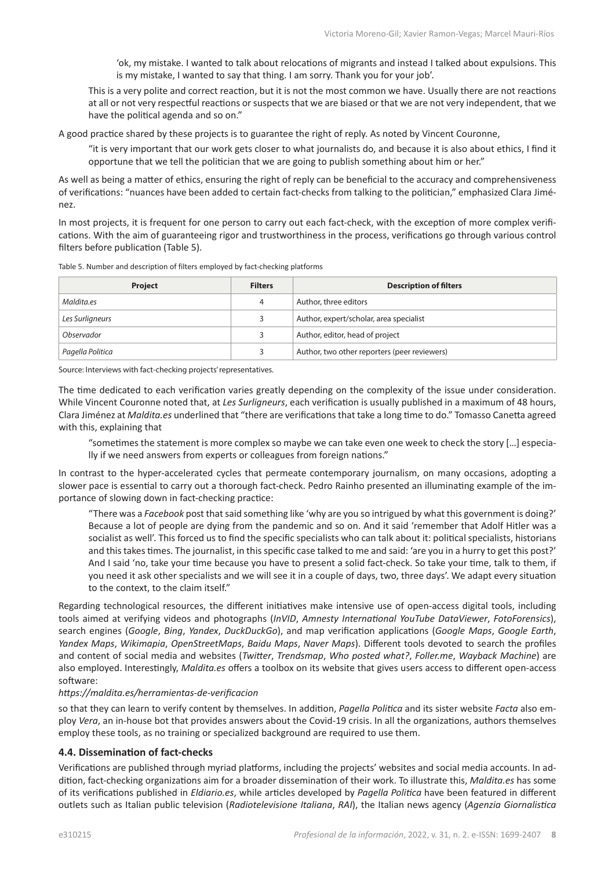'ok, my mistake. I wanted to talk about relocations of migrants and instead I talked about expulsions. This is my mistake, I wanted to say that thing. I am sorry. Thank you for your job'.

This is a very polite and correct reaction, but it is not the most common we have. Usually there are not reactions at all or not very respectful reactions or suspects that we are biased or that we are not very independent, that we have the political agenda and so on."

A good practice shared by these projects is to guarantee the right of reply. As noted by Vincent Couronne,

"it is very important that our work gets closer to what journalists do, and because it is also about ethics, I find it opportune that we tell the politician that we are going to publish something about him or her."

As well as being a matter of ethics, ensuring the right of reply can be beneficial to the accuracy and comprehensiveness of verifications: "nuances have been added to certain fact-checks from talking to the politician," emphasized Clara Jiménez.

In most projects, it is frequent for one person to carry out each fact-check, with the exception of more complex verifications. With the aim of guaranteeing rigor and trustworthiness in the process, verifications go through various control filters before publication (Table 5).

| Table 5. Number and description of filters employed by fact-checking platforms |  |  |  |
|--------------------------------------------------------------------------------|--|--|--|

| Project          | <b>Filters</b> | <b>Description of filters</b>                |
|------------------|----------------|----------------------------------------------|
| Maldita.es       | 4              | Author, three editors                        |
| Les Surligneurs  |                | Author, expert/scholar, area specialist      |
| Observador       |                | Author, editor, head of project              |
| Pagella Politica |                | Author, two other reporters (peer reviewers) |

Source: Interviews with fact-checking projects' representatives.

The time dedicated to each verification varies greatly depending on the complexity of the issue under consideration. While Vincent Couronne noted that, at *Les Surligneurs*, each verification is usually published in a maximum of 48 hours, Clara Jiménez at *Maldita.es* underlined that "there are verifications that take a long time to do." Tomasso Canetta agreed with this, explaining that

"sometimes the statement is more complex so maybe we can take even one week to check the story […] especially if we need answers from experts or colleagues from foreign nations."

In contrast to the hyper-accelerated cycles that permeate contemporary journalism, on many occasions, adopting a slower pace is essential to carry out a thorough fact-check. Pedro Rainho presented an illuminating example of the importance of slowing down in fact-checking practice:

"There was a *Facebook* post that said something like 'why are you so intrigued by what this government is doing?' Because a lot of people are dying from the pandemic and so on. And it said 'remember that Adolf Hitler was a socialist as well'. This forced us to find the specific specialists who can talk about it: political specialists, historians and this takes times. The journalist, in this specific case talked to me and said: 'are you in a hurry to get this post?' And I said 'no, take your time because you have to present a solid fact-check. So take your time, talk to them, if you need it ask other specialists and we will see it in a couple of days, two, three days'. We adapt every situation to the context, to the claim itself."

Regarding technological resources, the different initiatives make intensive use of open-access digital tools, including tools aimed at verifying videos and photographs (*InVID*, *Amnesty International YouTube DataViewer*, *FotoForensics*), search engines (*Google*, *Bing*, *Yandex*, *DuckDuckGo*), and map verification applications (*Google Maps*, *Google Earth*, *Yandex Maps*, *Wikimapia*, *OpenStreetMaps*, *Baidu Maps*, *Naver Maps*). Different tools devoted to search the profiles and content of social media and websites (*Twitter*, *Trendsmap*, *Who posted what?*, *Foller.me*, *Wayback Machine*) are also employed. Interestingly, *Maldita.es* offers a toolbox on its website that gives users access to different open-access software:

#### *<https://maldita.es/herramientas-de-verificacion>*

so that they can learn to verify content by themselves. In addition, *Pagella Politica* and its sister website *Facta* also employ *Vera*, an in-house bot that provides answers about the Covid-19 crisis. In all the organizations, authors themselves employ these tools, as no training or specialized background are required to use them.

#### **4.4. Dissemination of fact-checks**

Verifications are published through myriad platforms, including the projects' websites and social media accounts. In addition, fact-checking organizations aim for a broader dissemination of their work. To illustrate this, *Maldita.es* has some of its verifications published in *Eldiario.es*, while articles developed by *Pagella Politica* have been featured in different outlets such as Italian public television (*Radiotelevisione Italiana*, *RAI*), the Italian news agency (*Agenzia Giornalistica*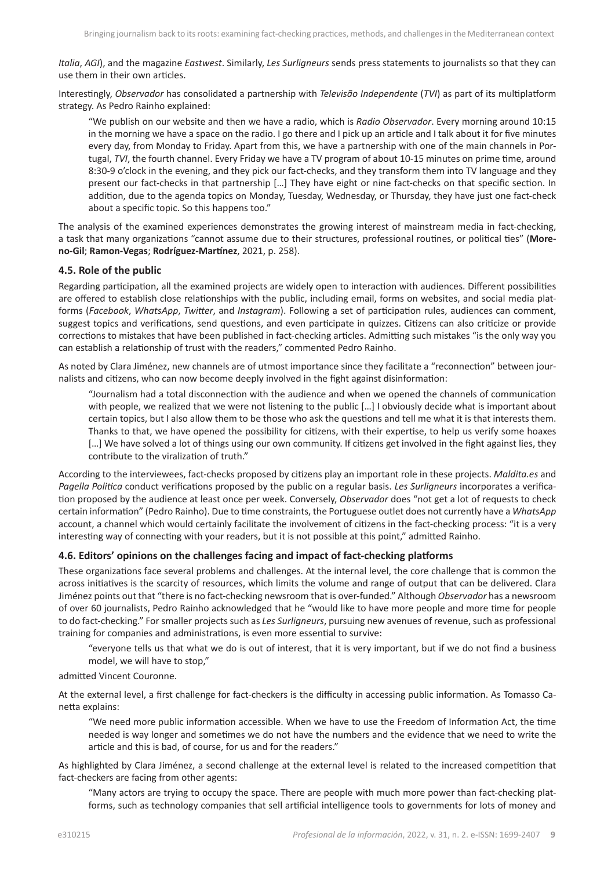*Italia*, *AGI*), and the magazine *Eastwest*. Similarly, *Les Surligneurs* sends press statements to journalists so that they can use them in their own articles.

Interestingly, *Observador* has consolidated a partnership with *Televisão Independente* (*TVI*) as part of its multiplatform strategy. As Pedro Rainho explained:

"We publish on our website and then we have a radio, which is *Radio Observador*. Every morning around 10:15 in the morning we have a space on the radio. I go there and I pick up an article and I talk about it for five minutes every day, from Monday to Friday. Apart from this, we have a partnership with one of the main channels in Portugal, *TVI*, the fourth channel. Every Friday we have a TV program of about 10-15 minutes on prime time, around 8:30-9 o'clock in the evening, and they pick our fact-checks, and they transform them into TV language and they present our fact-checks in that partnership […] They have eight or nine fact-checks on that specific section. In addition, due to the agenda topics on Monday, Tuesday, Wednesday, or Thursday, they have just one fact-check about a specific topic. So this happens too."

The analysis of the examined experiences demonstrates the growing interest of mainstream media in fact-checking, a task that many organizations "cannot assume due to their structures, professional routines, or political ties" (**Moreno-Gil**; **Ramon-Vegas**; **Rodríguez-Martínez**, 2021, p. 258).

#### **4.5. Role of the public**

Regarding participation, all the examined projects are widely open to interaction with audiences. Different possibilities are offered to establish close relationships with the public, including email, forms on websites, and social media platforms (*Facebook*, *WhatsApp*, *Twitter*, and *Instagram*). Following a set of participation rules, audiences can comment, suggest topics and verifications, send questions, and even participate in quizzes. Citizens can also criticize or provide corrections to mistakes that have been published in fact-checking articles. Admitting such mistakes "is the only way you can establish a relationship of trust with the readers," commented Pedro Rainho.

As noted by Clara Jiménez, new channels are of utmost importance since they facilitate a "reconnection" between journalists and citizens, who can now become deeply involved in the fight against disinformation:

"Journalism had a total disconnection with the audience and when we opened the channels of communication with people, we realized that we were not listening to the public […] I obviously decide what is important about certain topics, but I also allow them to be those who ask the questions and tell me what it is that interests them. Thanks to that, we have opened the possibility for citizens, with their expertise, to help us verify some hoaxes [...] We have solved a lot of things using our own community. If citizens get involved in the fight against lies, they contribute to the viralization of truth."

According to the interviewees, fact-checks proposed by citizens play an important role in these projects. *Maldita.es* and *Pagella Politica* conduct verifications proposed by the public on a regular basis. *Les Surligneurs* incorporates a verification proposed by the audience at least once per week. Conversely, *Observador* does "not get a lot of requests to check certain information" (Pedro Rainho). Due to time constraints, the Portuguese outlet does not currently have a *WhatsApp* account, a channel which would certainly facilitate the involvement of citizens in the fact-checking process: "it is a very interesting way of connecting with your readers, but it is not possible at this point," admitted Rainho.

#### **4.6. Editors' opinions on the challenges facing and impact of fact-checking platforms**

These organizations face several problems and challenges. At the internal level, the core challenge that is common the across initiatives is the scarcity of resources, which limits the volume and range of output that can be delivered. Clara Jiménez points out that "there is no fact-checking newsroom that is over-funded." Although *Observador* has a newsroom of over 60 journalists, Pedro Rainho acknowledged that he "would like to have more people and more time for people to do fact-checking." For smaller projects such as *Les Surligneurs*, pursuing new avenues of revenue, such as professional training for companies and administrations, is even more essential to survive:

"everyone tells us that what we do is out of interest, that it is very important, but if we do not find a business model, we will have to stop,"

admitted Vincent Couronne.

At the external level, a first challenge for fact-checkers is the difficulty in accessing public information. As Tomasso Canetta explains:

"We need more public information accessible. When we have to use the Freedom of Information Act, the time needed is way longer and sometimes we do not have the numbers and the evidence that we need to write the article and this is bad, of course, for us and for the readers."

As highlighted by Clara Jiménez, a second challenge at the external level is related to the increased competition that fact-checkers are facing from other agents:

"Many actors are trying to occupy the space. There are people with much more power than fact-checking platforms, such as technology companies that sell artificial intelligence tools to governments for lots of money and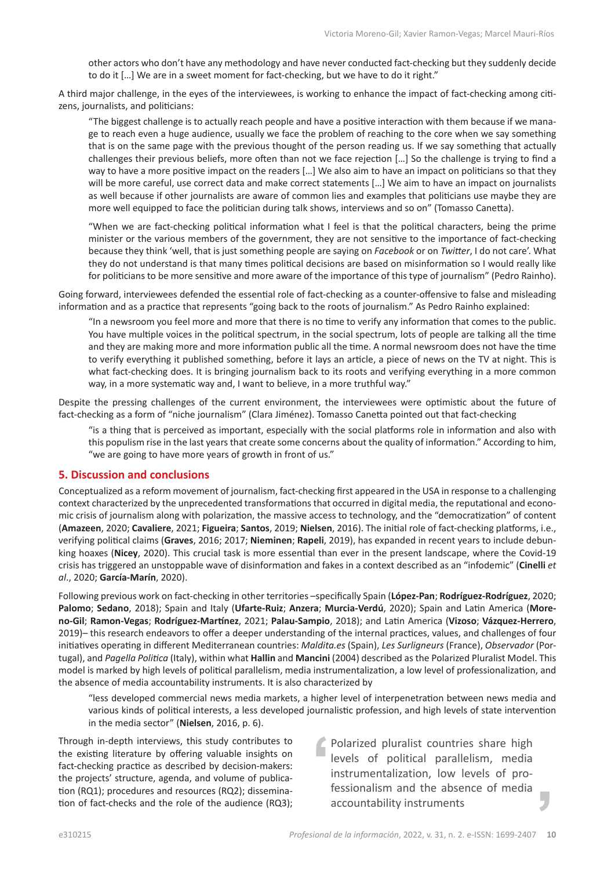other actors who don't have any methodology and have never conducted fact-checking but they suddenly decide to do it […] We are in a sweet moment for fact-checking, but we have to do it right."

A third major challenge, in the eyes of the interviewees, is working to enhance the impact of fact-checking among citizens, journalists, and politicians:

"The biggest challenge is to actually reach people and have a positive interaction with them because if we manage to reach even a huge audience, usually we face the problem of reaching to the core when we say something that is on the same page with the previous thought of the person reading us. If we say something that actually challenges their previous beliefs, more often than not we face rejection […] So the challenge is trying to find a way to have a more positive impact on the readers […] We also aim to have an impact on politicians so that they will be more careful, use correct data and make correct statements […] We aim to have an impact on journalists as well because if other journalists are aware of common lies and examples that politicians use maybe they are more well equipped to face the politician during talk shows, interviews and so on" (Tomasso Canetta).

"When we are fact-checking political information what I feel is that the political characters, being the prime minister or the various members of the government, they are not sensitive to the importance of fact-checking because they think 'well, that is just something people are saying on *Facebook* or on *Twitter*, I do not care'. What they do not understand is that many times political decisions are based on misinformation so I would really like for politicians to be more sensitive and more aware of the importance of this type of journalism" (Pedro Rainho).

Going forward, interviewees defended the essential role of fact-checking as a counter-offensive to false and misleading information and as a practice that represents "going back to the roots of journalism." As Pedro Rainho explained:

"In a newsroom you feel more and more that there is no time to verify any information that comes to the public. You have multiple voices in the political spectrum, in the social spectrum, lots of people are talking all the time and they are making more and more information public all the time. A normal newsroom does not have the time to verify everything it published something, before it lays an article, a piece of news on the TV at night. This is what fact-checking does. It is bringing journalism back to its roots and verifying everything in a more common way, in a more systematic way and, I want to believe, in a more truthful way."

Despite the pressing challenges of the current environment, the interviewees were optimistic about the future of fact-checking as a form of "niche journalism" (Clara Jiménez). Tomasso Canetta pointed out that fact-checking

"is a thing that is perceived as important, especially with the social platforms role in information and also with this populism rise in the last years that create some concerns about the quality of information." According to him, "we are going to have more years of growth in front of us."

# **5. Discussion and conclusions**

Conceptualized as a reform movement of journalism, fact-checking first appeared in the USA in response to a challenging context characterized by the unprecedented transformations that occurred in digital media, the reputational and economic crisis of journalism along with polarization, the massive access to technology, and the "democratization" of content (**Amazeen**, 2020; **Cavaliere**, 2021; **Figueira**; **Santos**, 2019; **Nielsen**, 2016). The initial role of fact-checking platforms, i.e., verifying political claims (**Graves**, 2016; 2017; **Nieminen**; **Rapeli**, 2019), has expanded in recent years to include debunking hoaxes (**Nicey**, 2020). This crucial task is more essential than ever in the present landscape, where the Covid-19 crisis has triggered an unstoppable wave of disinformation and fakes in a context described as an "infodemic" (**Cinelli** *et al*., 2020; **García-Marín**, 2020).

Following previous work on fact-checking in other territories –specifically Spain (**López-Pan**; **Rodríguez-Rodríguez**, 2020; **Palomo**; **Sedano**, 2018); Spain and Italy (**Ufarte-Ruiz**; **Anzera**; **Murcia-Verdú**, 2020); Spain and Latin America (**Moreno-Gil**; **Ramon-Vegas**; **Rodríguez-Martínez**, 2021; **Palau-Sampio**, 2018); and Latin America (**Vizoso**; **Vázquez-Herrero**, 2019)– this research endeavors to offer a deeper understanding of the internal practices, values, and challenges of four initiatives operating in different Mediterranean countries: *Maldita.es* (Spain), *Les Surligneurs* (France), *Observador* (Portugal), and *Pagella Politica* (Italy), within what **Hallin** and **Mancini** (2004) described as the Polarized Pluralist Model. This model is marked by high levels of political parallelism, media instrumentalization, a low level of professionalization, and the absence of media accountability instruments. It is also characterized by

"less developed commercial news media markets, a higher level of interpenetration between news media and various kinds of political interests, a less developed journalistic profession, and high levels of state intervention in the media sector" (**Nielsen**, 2016, p. 6).

Through in-depth interviews, this study contributes to the existing literature by offering valuable insights on fact-checking practice as described by decision-makers: the projects' structure, agenda, and volume of publication (RQ1); procedures and resources (RQ2); dissemination of fact-checks and the role of the audience (RQ3);

Polarized pluralist countries share high levels of political parallelism, media instrumentalization, low levels of professionalism and the absence of media accountability instruments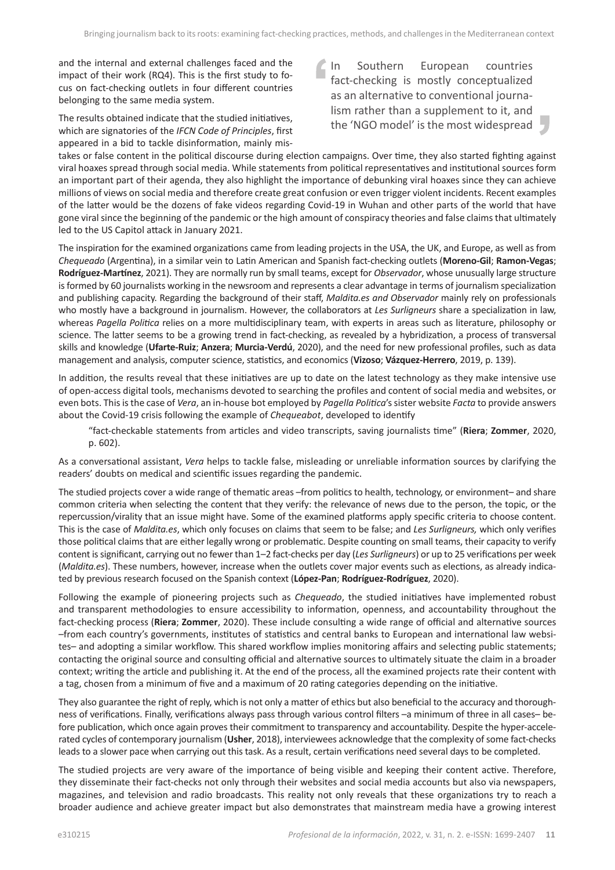and the internal and external challenges faced and the impact of their work (RQ4). This is the first study to focus on fact-checking outlets in four different countries belonging to the same media system.

The results obtained indicate that the studied initiatives, which are signatories of the *IFCN Code of Principles*, first appeared in a bid to tackle disinformation, mainly mis1 In Southern European countries fact-checking is mostly conceptualized as an alternative to conventional journalism rather than a supplement to it, and the 'NGO model' is the most widespread

takes or false content in the political discourse during election campaigns. Over time, they also started fighting against viral hoaxes spread through social media. While statements from political representatives and institutional sources form an important part of their agenda, they also highlight the importance of debunking viral hoaxes since they can achieve millions of views on social media and therefore create great confusion or even trigger violent incidents. Recent examples of the latter would be the dozens of fake videos regarding Covid-19 in Wuhan and other parts of the world that have gone viral since the beginning of the pandemic or the high amount of conspiracy theories and false claims that ultimately led to the US Capitol attack in January 2021.

The inspiration for the examined organizations came from leading projects in the USA, the UK, and Europe, as well as from *Chequeado* (Argentina), in a similar vein to Latin American and Spanish fact-checking outlets (**Moreno-Gil**; **Ramon-Vegas**; **Rodríguez-Martínez**, 2021). They are normally run by small teams, except for *Observador*, whose unusually large structure is formed by 60 journalists working in the newsroom and represents a clear advantage in terms of journalism specialization and publishing capacity. Regarding the background of their staff, *Maldita.es and Observador* mainly rely on professionals who mostly have a background in journalism. However, the collaborators at *Les Surligneurs* share a specialization in law, whereas *Pagella Politica* relies on a more multidisciplinary team, with experts in areas such as literature, philosophy or science. The latter seems to be a growing trend in fact-checking, as revealed by a hybridization, a process of transversal skills and knowledge (**Ufarte-Ruiz**; **Anzera**; **Murcia-Verdú**, 2020), and the need for new professional profiles, such as data management and analysis, computer science, statistics, and economics (**Vizoso**; **Vázquez-Herrero**, 2019, p. 139).

In addition, the results reveal that these initiatives are up to date on the latest technology as they make intensive use of open-access digital tools, mechanisms devoted to searching the profiles and content of social media and websites, or even bots. This is the case of *Vera*, an in-house bot employed by *Pagella Politica*'s sister website *Facta* to provide answers about the Covid-19 crisis following the example of *Chequeabot*, developed to identify

"fact-checkable statements from articles and video transcripts, saving journalists time" (**Riera**; **Zommer**, 2020, p. 602).

As a conversational assistant, *Vera* helps to tackle false, misleading or unreliable information sources by clarifying the readers' doubts on medical and scientific issues regarding the pandemic.

The studied projects cover a wide range of thematic areas –from politics to health, technology, or environment– and share common criteria when selecting the content that they verify: the relevance of news due to the person, the topic, or the repercussion/virality that an issue might have. Some of the examined platforms apply specific criteria to choose content. This is the case of *Maldita.es*, which only focuses on claims that seem to be false; and *Les Surligneurs,* which only verifies those political claims that are either legally wrong or problematic. Despite counting on small teams, their capacity to verify content is significant, carrying out no fewer than 1–2 fact-checks per day (*Les Surligneurs*) or up to 25 verifications per week (*Maldita.es*). These numbers, however, increase when the outlets cover major events such as elections, as already indicated by previous research focused on the Spanish context (**López-Pan**; **Rodríguez-Rodríguez**, 2020).

Following the example of pioneering projects such as *Chequeado*, the studied initiatives have implemented robust and transparent methodologies to ensure accessibility to information, openness, and accountability throughout the fact-checking process (**Riera**; **Zommer**, 2020). These include consulting a wide range of official and alternative sources –from each country's governments, institutes of statistics and central banks to European and international law websites– and adopting a similar workflow. This shared workflow implies monitoring affairs and selecting public statements; contacting the original source and consulting official and alternative sources to ultimately situate the claim in a broader context; writing the article and publishing it. At the end of the process, all the examined projects rate their content with a tag, chosen from a minimum of five and a maximum of 20 rating categories depending on the initiative.

They also guarantee the right of reply, which is not only a matter of ethics but also beneficial to the accuracy and thoroughness of verifications. Finally, verifications always pass through various control filters –a minimum of three in all cases– before publication, which once again proves their commitment to transparency and accountability. Despite the hyper-accelerated cycles of contemporary journalism (**Usher**, 2018), interviewees acknowledge that the complexity of some fact-checks leads to a slower pace when carrying out this task. As a result, certain verifications need several days to be completed.

The studied projects are very aware of the importance of being visible and keeping their content active. Therefore, they disseminate their fact-checks not only through their websites and social media accounts but also via newspapers, magazines, and television and radio broadcasts. This reality not only reveals that these organizations try to reach a broader audience and achieve greater impact but also demonstrates that mainstream media have a growing interest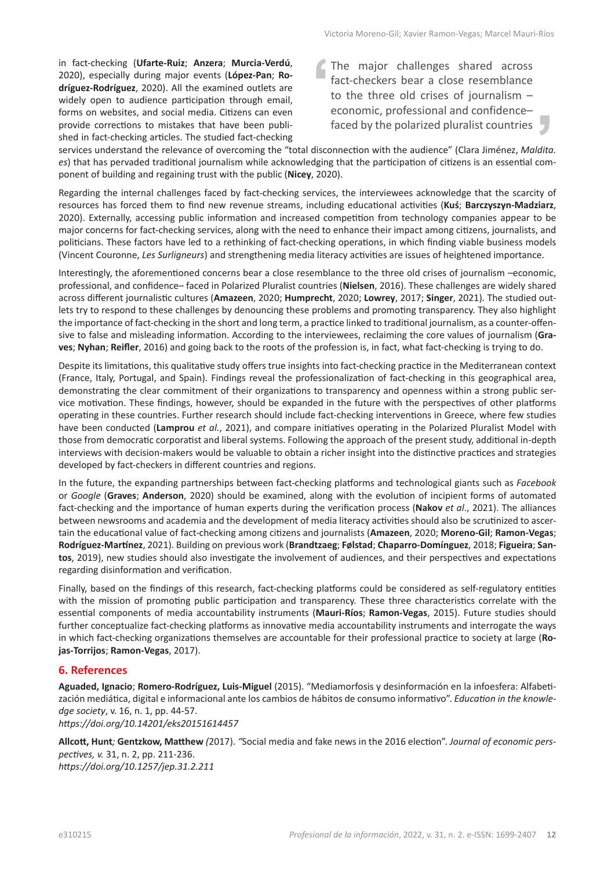in fact-checking (**Ufarte-Ruiz**; **Anzera**; **Murcia-Verdú**, 2020), especially during major events (**López-Pan**; **Rodríguez-Rodríguez**, 2020). All the examined outlets are widely open to audience participation through email, forms on websites, and social media. Citizens can even provide corrections to mistakes that have been published in fact-checking articles. The studied fact-checking The major challenges shared across fact-checkers bear a close resemblance to the three old crises of journalism – economic, professional and confidence– faced by the polarized pluralist countries

services understand the relevance of overcoming the "total disconnection with the audience" (Clara Jiménez, *Maldita. es*) that has pervaded traditional journalism while acknowledging that the participation of citizens is an essential component of building and regaining trust with the public (**Nicey**, 2020).

Regarding the internal challenges faced by fact-checking services, the interviewees acknowledge that the scarcity of resources has forced them to find new revenue streams, including educational activities (**Kuś**; **Barczyszyn-Madziarz**, 2020). Externally, accessing public information and increased competition from technology companies appear to be major concerns for fact-checking services, along with the need to enhance their impact among citizens, journalists, and politicians. These factors have led to a rethinking of fact-checking operations, in which finding viable business models (Vincent Couronne, *Les Surligneurs*) and strengthening media literacy activities are issues of heightened importance.

Interestingly, the aforementioned concerns bear a close resemblance to the three old crises of journalism –economic, professional, and confidence– faced in Polarized Pluralist countries (**Nielsen**, 2016). These challenges are widely shared across different journalistic cultures (**Amazeen**, 2020; **Humprecht**, 2020; **Lowrey**, 2017; **Singer**, 2021). The studied outlets try to respond to these challenges by denouncing these problems and promoting transparency. They also highlight the importance of fact-checking in the short and long term, a practice linked to traditional journalism, as a counter-offensive to false and misleading information. According to the interviewees, reclaiming the core values of journalism (**Graves**; **Nyhan**; **Reifler**, 2016) and going back to the roots of the profession is, in fact, what fact-checking is trying to do.

Despite its limitations, this qualitative study offers true insights into fact-checking practice in the Mediterranean context (France, Italy, Portugal, and Spain). Findings reveal the professionalization of fact-checking in this geographical area, demonstrating the clear commitment of their organizations to transparency and openness within a strong public service motivation. These findings, however, should be expanded in the future with the perspectives of other platforms operating in these countries. Further research should include fact-checking interventions in Greece, where few studies have been conducted (**Lamprou** *et al.*, 2021), and compare initiatives operating in the Polarized Pluralist Model with those from democratic corporatist and liberal systems. Following the approach of the present study, additional in-depth interviews with decision-makers would be valuable to obtain a richer insight into the distinctive practices and strategies developed by fact-checkers in different countries and regions.

In the future, the expanding partnerships between fact-checking platforms and technological giants such as *Facebook* or *Google* (**Graves**; **Anderson**, 2020) should be examined, along with the evolution of incipient forms of automated fact-checking and the importance of human experts during the verification process (**Nakov** *et al*., 2021). The alliances between newsrooms and academia and the development of media literacy activities should also be scrutinized to ascertain the educational value of fact-checking among citizens and journalists (**Amazeen**, 2020; **Moreno-Gil**; **Ramon-Vegas**; **Rodríguez-Martínez**, 2021). Building on previous work (**Brandtzaeg**; **Følstad**; **Chaparro-Domínguez**, 2018; **Figueira**; **Santos**, 2019), new studies should also investigate the involvement of audiences, and their perspectives and expectations regarding disinformation and verification.

Finally, based on the findings of this research, fact-checking platforms could be considered as self-regulatory entities with the mission of promoting public participation and transparency. These three characteristics correlate with the essential components of media accountability instruments (**Mauri-Ríos**; **Ramon-Vegas**, 2015). Future studies should further conceptualize fact-checking platforms as innovative media accountability instruments and interrogate the ways in which fact-checking organizations themselves are accountable for their professional practice to society at large (**Rojas-Torrijos**; **Ramon-Vegas**, 2017).

# **6. References**

**Aguaded, Ignacio**; **Romero-Rodríguez, Luis-Miguel** (2015). "Mediamorfosis y desinformación en la infoesfera: Alfabetización mediática, digital e informacional ante los cambios de hábitos de consumo informativo". *Education in the knowledge society*, v. 16, n. 1, pp. 44-57. *<https://doi.org/10.14201/eks20151614457>*

**Allcott, Hunt***;* **Gentzkow, Matthew** *(*2017). *"*Social media and fake news in the 2016 election". *Journal of economic perspectives, v.* 31, n. 2, pp. 211-236. *<https://doi.org/10.1257/jep.31.2.211>*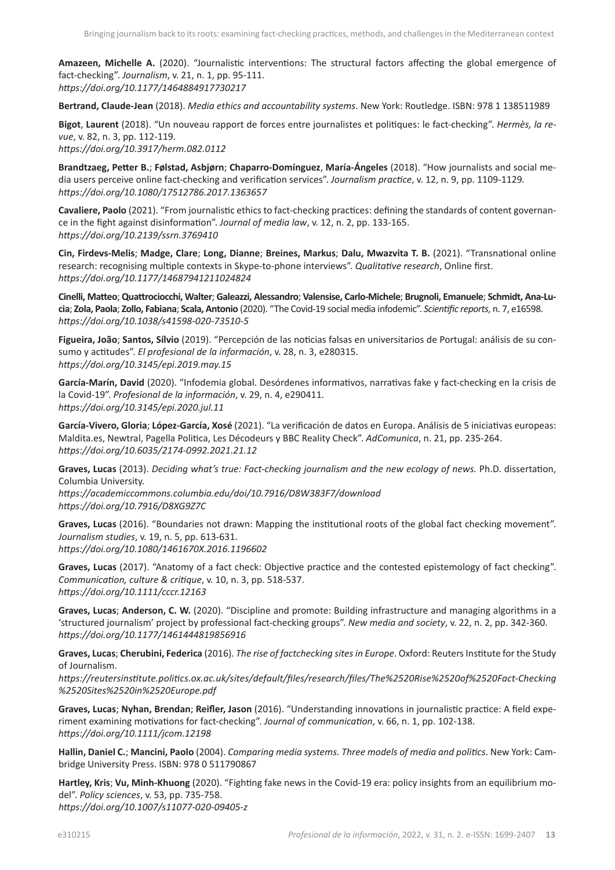**Amazeen, Michelle A.** (2020). "Journalistic interventions: The structural factors affecting the global emergence of fact-checking". *Journalism*, v. 21, n. 1, pp. 95-111. *<https://doi.org/10.1177/1464884917730217>*

**Bertrand, Claude-Jean** (2018). *Media ethics and accountability systems*. New York: Routledge. ISBN: 978 1 138511989

**Bigot**, **Laurent** (2018). "Un nouveau rapport de forces entre journalistes et politiques: le fact-checking". *Hermès, la revue*, v. 82, n. 3, pp. 112-119.

*<https://doi.org/10.3917/herm.082.0112>*

**Brandtzaeg, Petter B.**; **Følstad, Asbjørn**; **Chaparro-Domínguez**, **María-Ángeles** (2018). "How journalists and social media users perceive online fact-checking and verification services". *Journalism practice*, v. 12, n. 9, pp. 1109-1129*. <https://doi.org/10.1080/17512786.2017.1363657>*

**Cavaliere, Paolo** (2021). "From journalistic ethics to fact-checking practices: defining the standards of content governance in the fight against disinformation". *Journal of media law*, v. 12, n. 2, pp. 133-165. *<https://doi.org/10.2139/ssrn.3769410>*

**Cin, Firdevs-Melis**; **Madge, Clare**; **Long, Dianne**; **Breines, Markus**; **Dalu, Mwazvita T. B.** (2021). "Transnational online research: recognising multiple contexts in Skype-to-phone interviews". *Qualitative research*, Online first. *<https://doi.org/10.1177/14687941211024824>*

**Cinelli, Matteo**; **Quattrociocchi, Walter**; **Galeazzi, Alessandro**; **Valensise, Carlo-Michele**; **Brugnoli, Emanuele**; **Schmidt, Ana-Lucia**; **Zola, Paola**; **Zollo, Fabiana**; **Scala, Antonio** (2020). "The Covid-19 social media infodemic". *Scientific reports*, n. 7, e16598. *<https://doi.org/10.1038/s41598-020-73510-5>*

**Figueira, João**; **Santos, Sílvio** (2019). "Percepción de las noticias falsas en universitarios de Portugal: análisis de su consumo y actitudes". *El profesional de la información*, v. 28, n. 3, e280315. *<https://doi.org/10.3145/epi.2019.may.15>*

**García-Marín, David** (2020). "Infodemia global. Desórdenes informativos, narrativas fake y fact-checking en la crisis de la Covid-19". *Profesional de la información*, v. 29, n. 4, e290411. *<https://doi.org/10.3145/epi.2020.jul.11>*

**García-Vivero, Gloria**; **López-García, Xosé** (2021). "La verificación de datos en Europa. Análisis de 5 iniciativas europeas: [Maldita.es](http://Maldita.es), Newtral, Pagella Politica, Les Décodeurs y BBC Reality Check". *AdComunica*, n. 21, pp. 235-264. *<https://doi.org/10.6035/2174-0992.2021.21.12>*

**Graves, Lucas** (2013). *Deciding what's true: Fact-checking journalism and the new ecology of news.* Ph.D. dissertation, Columbia University. *<https://academiccommons.columbia.edu/doi/10.7916/D8W383F7/download>*

*<https://doi.org/10.7916/D8XG9Z7C>*

**Graves, Lucas** (2016). "Boundaries not drawn: Mapping the institutional roots of the global fact checking movement". *Journalism studies*, v. 19, n. 5, pp. 613-631. *<https://doi.org/10.1080/1461670X.2016.1196602>*

**Graves, Lucas** (2017). "Anatomy of a fact check: Objective practice and the contested epistemology of fact checking". *Communication, culture & critique*, v. 10, n. 3, pp. 518-537. *<https://doi.org/10.1111/cccr.12163>*

**Graves, Lucas**; **Anderson, C. W.** (2020). "Discipline and promote: Building infrastructure and managing algorithms in a 'structured journalism' project by professional fact-checking groups". *New media and society*, v. 22, n. 2, pp. 342-360. *<https://doi.org/10.1177/1461444819856916>*

**Graves, Lucas**; **Cherubini, Federica** (2016). *The rise of factchecking sites in Europe*. Oxford: Reuters Institute for the Study of Journalism.

*[https://reutersinstitute.politics.ox.ac.uk/sites/default/files/research/files/The%2520Rise%2520of%2520Fact-Checking](https://reutersinstitute.politics.ox.ac.uk/sites/default/files/research/files/The%2520Rise%2520of%2520Fact-Checking%2520Sites%2520in%2520Europe.pdf) [%2520Sites%2520in%2520Europe.pdf](https://reutersinstitute.politics.ox.ac.uk/sites/default/files/research/files/The%2520Rise%2520of%2520Fact-Checking%2520Sites%2520in%2520Europe.pdf)*

**Graves, Lucas**; **Nyhan, Brendan**; **Reifler, Jason** (2016). "Understanding innovations in journalistic practice: A field experiment examining motivations for fact-checking". *Journal of communication*, v. 66, n. 1, pp. 102-138. *<https://doi.org/10.1111/jcom.12198>*

**Hallin, Daniel C.**; **Mancini, Paolo** (2004). *Comparing media systems. Three models of media and politics*. New York: Cambridge University Press. ISBN: 978 0 511790867

**Hartley, Kris**; **Vu, Minh-Khuong** (2020). "Fighting fake news in the Covid-19 era: policy insights from an equilibrium model". *Policy sciences*, v. 53, pp. 735-758. *<https://doi.org/10.1007/s11077-020-09405-z>*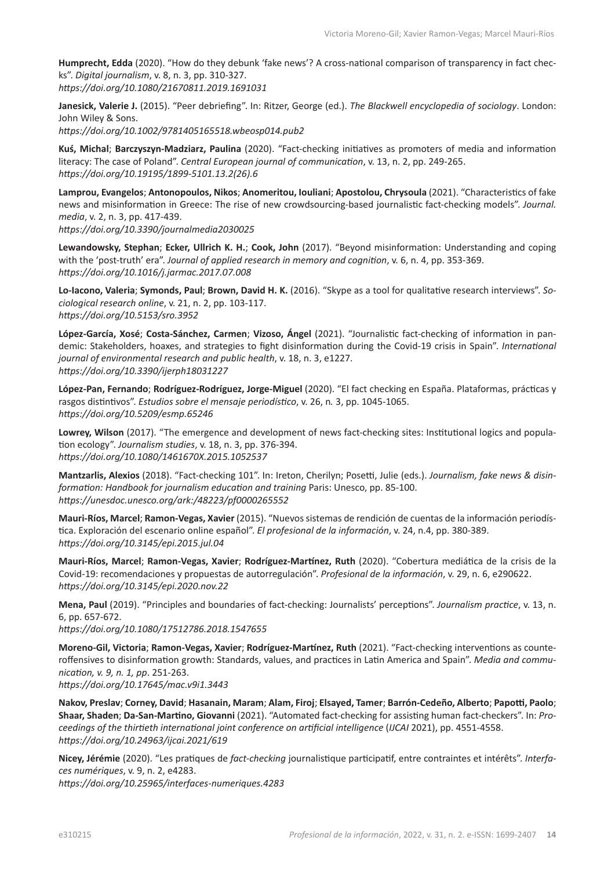**Humprecht, Edda** (2020). "How do they debunk 'fake news'? A cross-national comparison of transparency in fact checks". *Digital journalism*, v. 8, n. 3, pp. 310-327. *<https://doi.org/10.1080/21670811.2019.1691031>*

**Janesick, Valerie J.** (2015). "Peer debriefing". In: Ritzer, George (ed.). *The Blackwell encyclopedia of sociology*. London: John Wiley & Sons.

*<https://doi.org/10.1002/9781405165518.wbeosp014.pub2>*

**Kuś, Michal**; **Barczyszyn-Madziarz, Paulina** (2020). "Fact-checking initiatives as promoters of media and information literacy: The case of Poland". *Central European journal of communication*, v. 13, n. 2, pp. 249-265. *[https://doi.org/10.19195/1899-5101.13.2\(26\).6](https://doi.org/10.19195/1899-5101.13.2(26).6)* 

**Lamprou, Evangelos**; **Antonopoulos, Nikos**; **Anomeritou, Iouliani**; **Apostolou, Chrysoula** (2021). "Characteristics of fake news and misinformation in Greece: The rise of new crowdsourcing-based journalistic fact-checking models". *Journal. media*, v. 2, n. 3, pp. 417-439. *<https://doi.org/10.3390/journalmedia2030025>*

**Lewandowsky, Stephan**; **Ecker, Ullrich K. H.**; **Cook, John** (2017). "Beyond misinformation: Understanding and coping with the 'post-truth' era". *Journal of applied research in memory and cognition*, v. 6, n. 4, pp. 353-369. *<https://doi.org/10.1016/j.jarmac.2017.07.008>*

**Lo-Iacono, Valeria**; **Symonds, Paul**; **Brown, David H. K.** (2016). "Skype as a tool for qualitative research interviews". *Sociological research online*, v. 21, n. 2, pp. 103-117. *<https://doi.org/10.5153/sro.3952>*

**López-García, Xosé**; **Costa-Sánchez, Carmen**; **Vizoso, Ángel** (2021). "Journalistic fact-checking of information in pandemic: Stakeholders, hoaxes, and strategies to fight disinformation during the Covid-19 crisis in Spain". *International journal of environmental research and public health*, v. 18, n. 3, e1227. *<https://doi.org/10.3390/ijerph18031227>*

**López-Pan, Fernando**; **Rodríguez-Rodríguez, Jorge-Miguel** (2020). "El fact checking en España. Plataformas, prácticas y rasgos distintivos". *Estudios sobre el mensaje periodístico*, v. 26, n*.* 3, pp. 1045-1065. *<https://doi.org/10.5209/esmp.65246>*

**Lowrey, Wilson** (2017). "The emergence and development of news fact-checking sites: Institutional logics and population ecology". *Journalism studies*, v. 18, n. 3, pp. 376-394. *<https://doi.org/10.1080/1461670X.2015.1052537>*

**Mantzarlis, Alexios** (2018). "Fact-checking 101". In: Ireton, Cherilyn; Posetti, Julie (eds.). *Journalism, fake news & disinformation: Handbook for journalism education and training* Paris: Unesco, pp. 85-100. *[https://unesdoc.unesco.org/ark:](https://unesdoc.unesco.org/ark:/48223/pf0000265552)/48223/pf0000265552*

**Mauri-Ríos, Marcel**; **Ramon-Vegas, Xavier** (2015). "Nuevos sistemas de rendición de cuentas de la información periodística. Exploración del escenario online español". *El profesional de la información*, v. 24, n.4, pp. 380-389. *<https://doi.org/10.3145/epi.2015.jul.04>*

**Mauri-Ríos, Marcel**; **Ramon-Vegas, Xavier**; **Rodríguez-Martínez, Ruth** (2020). "Cobertura mediática de la crisis de la Covid-19: recomendaciones y propuestas de autorregulación". *Profesional de la información*, v. 29, n. 6, e290622. *<https://doi.org/10.3145/epi.2020.nov.22>*

**Mena, Paul** (2019). "Principles and boundaries of fact-checking: Journalists' perceptions". *Journalism practice*, v. 13, n. 6, pp. 657-672.

*<https://doi.org/10.1080/17512786.2018.1547655>*

**Moreno-Gil, Victoria**; **Ramon-Vegas, Xavier**; **Rodríguez-Martínez, Ruth** (2021). "Fact-checking interventions as counteroffensives to disinformation growth: Standards, values, and practices in Latin America and Spain". *Media and communication, v. 9, n. 1, pp*. 251-263. *<https://doi.org/10.17645/mac.v9i1.3443>*

**Nakov, Preslav**; **Corney, David**; **Hasanain, Maram**; **Alam, Firoj**; **Elsayed, Tamer**; **Barrón-Cedeño, Alberto**; **Papotti, Paolo**; **Shaar, Shaden**; **Da-San-Martino, Giovanni** (2021). "Automated fact-checking for assisting human fact-checkers". In: *Proceedings of the thirtieth international joint conference on artificial intelligence* (*IJCAI* 2021), pp. 4551-4558. *<https://doi.org/10.24963/ijcai.2021/619>* 

**Nicey, Jérémie** (2020). "Les pratiques de *fact-checking* journalistique participatif, entre contraintes et intérêts". *Interfaces numériques*, v. 9, n. 2, e4283.

*<https://doi.org/10.25965/interfaces-numeriques.4283>*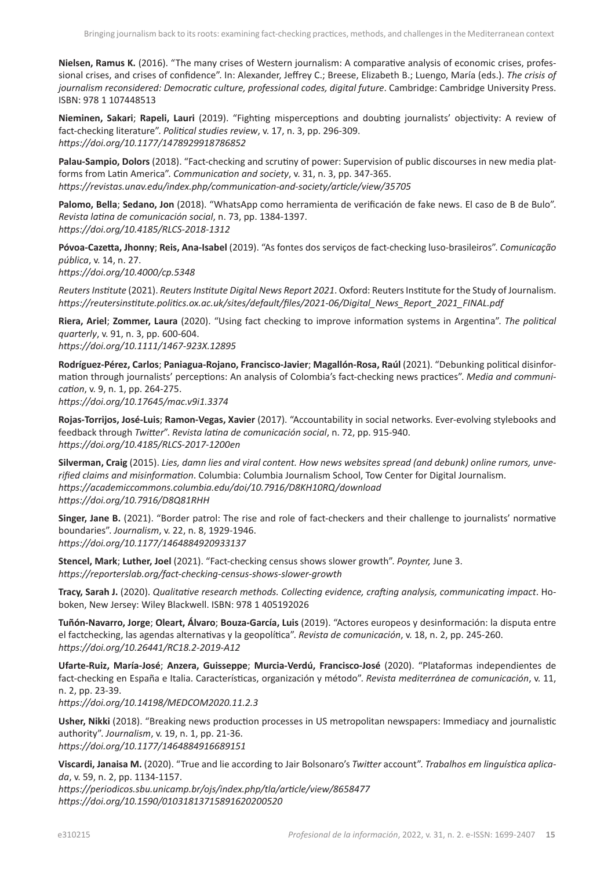**Nielsen, Ramus K.** (2016). "The many crises of Western journalism: A comparative analysis of economic crises, professional crises, and crises of confidence". In: Alexander, Jeffrey C.; Breese, Elizabeth B.; Luengo, María (eds.). *The crisis of journalism reconsidered: Democratic culture, professional codes, digital future*. Cambridge: Cambridge University Press. ISBN: 978 1 107448513

**Nieminen, Sakari**; **Rapeli, Lauri** (2019). "Fighting misperceptions and doubting journalists' objectivity: A review of fact-checking literature". *Political studies review*, v. 17, n. 3, pp. 296-309. *<https://doi.org/10.1177/1478929918786852>*

**Palau-Sampio, Dolors** (2018). "Fact-checking and scrutiny of power: Supervision of public discourses in new media platforms from Latin America". *Communication and society*, v. 31, n. 3, pp. 347-365. *<https://revistas.unav.edu/index.php/communication-and-society/article/view/35705>*

**Palomo, Bella**; **Sedano, Jon** (2018). "WhatsApp como herramienta de verificación de fake news. El caso de B de Bulo". *Revista latina de comunicación social*, n. 73, pp. 1384-1397. *<https://doi.org/10.4185/RLCS-2018-1312>*

**Póvoa-Cazetta, Jhonny**; **Reis, Ana-Isabel** (2019). "As fontes dos serviços de fact-checking luso-brasileiros". *Comunicação pública*, v. 14, n. 27. *<https://doi.org/10.4000/cp.5348>*

*Reuters Institute* (2021). *Reuters Institute Digital News Report 2021*. Oxford: Reuters Institute for the Study of Journalism. *[https://reutersinstitute.politics.ox.ac.uk/sites/default/files/2021-06/Digital\\_News\\_Report\\_2021\\_FINAL.pdf](https://reutersinstitute.politics.ox.ac.uk/sites/default/files/2021-06/Digital_News_Report_2021_FINAL.pdf)*

**Riera, Ariel**; **Zommer, Laura** (2020). "Using fact checking to improve information systems in Argentina". *The political quarterly*, v. 91, n. 3, pp. 600-604. *<https://doi.org/10.1111/1467-923X.12895>*

**Rodríguez-Pérez, Carlos**; **Paniagua-Rojano, Francisco-Javier**; **Magallón-Rosa, Raúl** (2021). "Debunking political disinformation through journalists' perceptions: An analysis of Colombia's fact-checking news practices". *Media and communication*, v. 9, n. 1, pp. 264-275.

*<https://doi.org/10.17645/mac.v9i1.3374>*

**Rojas-Torrijos, José-Luis**; **Ramon-Vegas, Xavier** (2017). "Accountability in social networks. Ever-evolving stylebooks and feedback through *Twitter*". *Revista latina de comunicación social*, n. 72, pp. 915-940. *<https://doi.org/10.4185/RLCS-2017-1200en>*

**Silverman, Craig** (2015). *Lies, damn lies and viral content. How news websites spread (and debunk) online rumors, unverified claims and misinformation*. Columbia: Columbia Journalism School, Tow Center for Digital Journalism. *<https://academiccommons.columbia.edu/doi/10.7916/D8KH10RQ/download> <https://doi.org/10.7916/D8Q81RHH>*

**Singer, Jane B.** (2021). "Border patrol: The rise and role of fact-checkers and their challenge to journalists' normative boundaries". *Journalism*, v. 22, n. 8, 1929-1946. *<https://doi.org/10.1177/1464884920933137>*

**Stencel, Mark**; **Luther, Joel** (2021). "Fact-checking census shows slower growth". *Poynter,* June 3. *<https://reporterslab.org/fact-checking-census-shows-slower-growth>*

**Tracy, Sarah J.** (2020). *Qualitative research methods. Collecting evidence, crafting analysis, communicating impact*. Hoboken, New Jersey: Wiley Blackwell. ISBN: 978 1 405192026

**Tuñón-Navarro, Jorge**; **Oleart, Álvaro**; **Bouza-García, Luis** (2019). "Actores europeos y desinformación: la disputa entre el factchecking, las agendas alternativas y la geopolítica". *Revista de comunicación*, v. 18, n. 2, pp. 245-260. *<https://doi.org/10.26441/RC18.2-2019-A12>*

**Ufarte-Ruiz, María-José**; **Anzera, Guisseppe**; **Murcia-Verdú, Francisco-José** (2020). "Plataformas independientes de fact-checking en España e Italia. Características, organización y método". *Revista mediterránea de comunicación*, v. 11, n. 2, pp. 23-39. *<https://doi.org/10.14198/MEDCOM2020.11.2.3>*

**Usher, Nikki** (2018). "Breaking news production processes in US metropolitan newspapers: Immediacy and journalistic authority". *Journalism*, v. 19, n. 1, pp. 21-36. *<https://doi.org/10.1177/1464884916689151>*

**Viscardi, Janaisa M.** (2020). "True and lie according to Jair Bolsonaro's *Twitter* account". *Trabalhos em linguística aplicada*, v. 59, n. 2, pp. 1134-1157.

*<https://periodicos.sbu.unicamp.br/ojs/index.php/tla/article/view/8658477> <https://doi.org/10.1590/01031813715891620200520>*